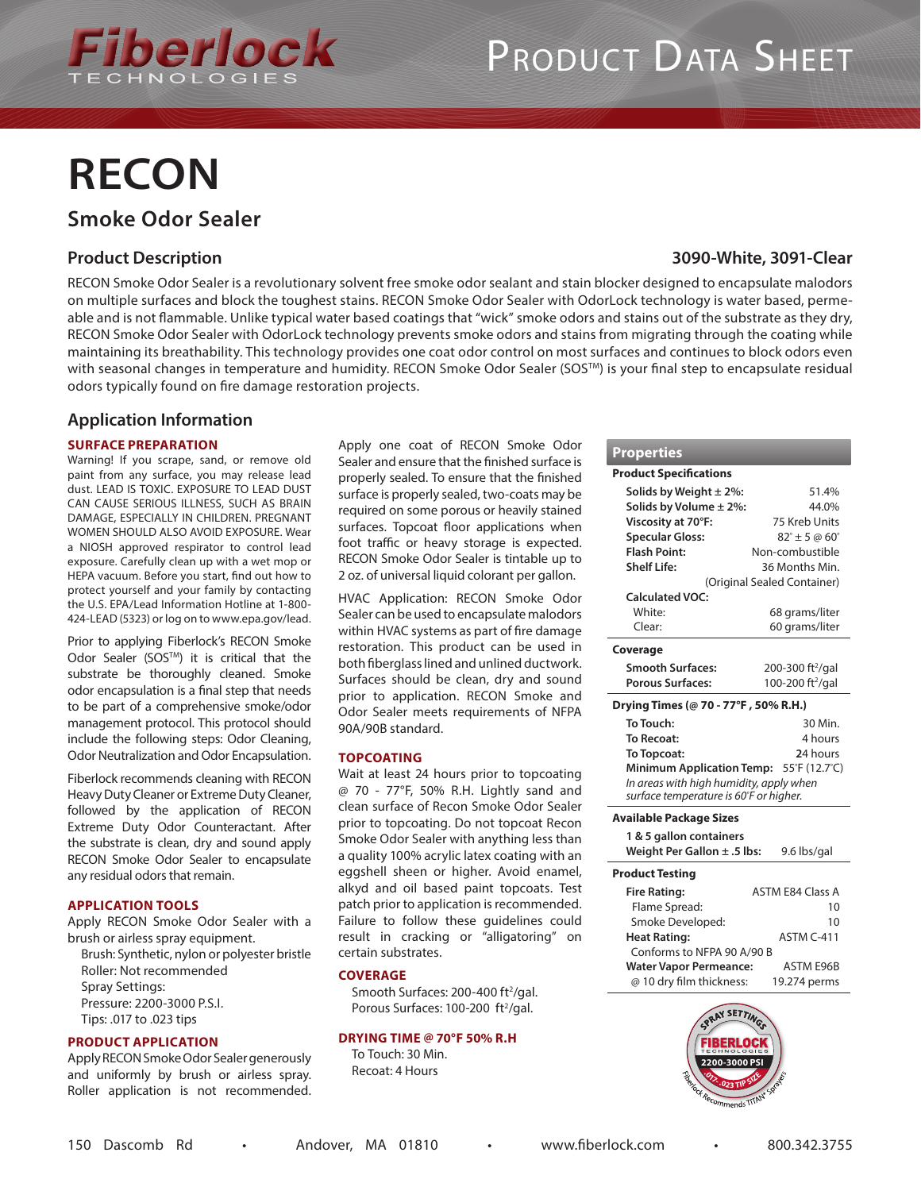

# PRODUCT DATA SHEET

# **RECON**

### **Smoke Odor Sealer**

#### **Product Description**

RECON Smoke Odor Sealer is a revolutionary solvent free smoke odor sealant and stain blocker designed to encapsulate malodors on multiple surfaces and block the toughest stains. RECON Smoke Odor Sealer with OdorLock technology is water based, permeable and is not flammable. Unlike typical water based coatings that "wick" smoke odors and stains out of the substrate as they dry, RECON Smoke Odor Sealer with OdorLock technology prevents smoke odors and stains from migrating through the coating while maintaining its breathability. This technology provides one coat odor control on most surfaces and continues to block odors even with seasonal changes in temperature and humidity. RECON Smoke Odor Sealer (SOS™) is your final step to encapsulate residual odors typically found on fire damage restoration projects.

#### **Application Information**

#### **SURFACE PREPARATION**

Warning! If you scrape, sand, or remove old paint from any surface, you may release lead dust. LEAD IS TOXIC. EXPOSURE TO LEAD DUST CAN CAUSE SERIOUS ILLNESS, SUCH AS BRAIN DAMAGE, ESPECIALLY IN CHILDREN. PREGNANT WOMEN SHOULD ALSO AVOID EXPOSURE. Wear a NIOSH approved respirator to control lead exposure. Carefully clean up with a wet mop or HEPA vacuum. Before you start, find out how to protect yourself and your family by contacting the U.S. EPA/Lead Information Hotline at 1-800- 424-LEAD (5323) or log on to www.epa.gov/lead.

Prior to applying Fiberlock's RECON Smoke Odor Sealer (SOSTM) it is critical that the substrate be thoroughly cleaned. Smoke odor encapsulation is a final step that needs to be part of a comprehensive smoke/odor management protocol. This protocol should include the following steps: Odor Cleaning, Odor Neutralization and Odor Encapsulation.

Fiberlock recommends cleaning with RECON Heavy Duty Cleaner or Extreme Duty Cleaner, followed by the application of RECON Extreme Duty Odor Counteractant. After the substrate is clean, dry and sound apply RECON Smoke Odor Sealer to encapsulate any residual odors that remain.

#### **APPLICATION TOOLS**

Apply RECON Smoke Odor Sealer with a brush or airless spray equipment.

Brush: Synthetic, nylon or polyester bristle Roller: Not recommended Spray Settings: Pressure: 2200-3000 P.S.I. Tips: .017 to .023 tips

#### **PRODUCT APPLICATION**

Apply RECON Smoke Odor Sealer generously and uniformly by brush or airless spray. Roller application is not recommended. Apply one coat of RECON Smoke Odor Sealer and ensure that the finished surface is properly sealed. To ensure that the finished surface is properly sealed, two-coats may be required on some porous or heavily stained surfaces. Topcoat floor applications when foot traffic or heavy storage is expected. RECON Smoke Odor Sealer is tintable up to 2 oz. of universal liquid colorant per gallon.

HVAC Application: RECON Smoke Odor Sealer can be used to encapsulate malodors within HVAC systems as part of fire damage restoration. This product can be used in both fiberglass lined and unlined ductwork. Surfaces should be clean, dry and sound prior to application. RECON Smoke and Odor Sealer meets requirements of NFPA 90A/90B standard.

#### **TOPCOATING**

Wait at least 24 hours prior to topcoating @ 70 - 77°F, 50% R.H. Lightly sand and clean surface of Recon Smoke Odor Sealer prior to topcoating. Do not topcoat Recon Smoke Odor Sealer with anything less than a quality 100% acrylic latex coating with an eggshell sheen or higher. Avoid enamel, alkyd and oil based paint topcoats. Test patch prior to application is recommended. Failure to follow these guidelines could result in cracking or "alligatoring" on certain substrates.

#### **COVERAGE**

Smooth Surfaces: 200-400 ft<sup>2</sup>/gal. Porous Surfaces: 100-200 ft<sup>2</sup>/gal.

#### **DRYING TIME @ 70°F 50% R.H**

To Touch: 30 Min. Recoat: 4 Hours

### **3090-White, 3091-Clear**

| Properties                                        |                                      |  |
|---------------------------------------------------|--------------------------------------|--|
| <b>Product Specifications</b>                     |                                      |  |
| Solids by Weight $\pm$ 2%:                        | 51.4%                                |  |
| Solids by Volume ± 2%:                            | 44.0%                                |  |
| Viscosity at 70°F:                                | 75 Kreb Units                        |  |
| <b>Specular Gloss:</b>                            | $82^{\circ} \pm 5 \omega 60^{\circ}$ |  |
| <b>Flash Point:</b>                               | Non-combustible                      |  |
| Shelf Life:                                       | 36 Months Min.                       |  |
| (Original Sealed Container)                       |                                      |  |
| Calculated VOC:                                   |                                      |  |
| White:                                            | 68 grams/liter                       |  |
| Clear:                                            | 60 grams/liter                       |  |
| Coverage                                          |                                      |  |
| <b>Smooth Surfaces:</b>                           | 200-300 ft <sup>2</sup> /gal         |  |
| <b>Porous Surfaces:</b>                           | 100-200 ft <sup>2</sup> /gal         |  |
| Drying Times (@ 70 - 77°F, 50% R.H.)              |                                      |  |
| To Touch:                                         | 30 Min.                              |  |
| <b>To Recoat:</b>                                 | 4 hours                              |  |
| To Topcoat:                                       | 24 hours                             |  |
| <b>Minimum Application Temp:</b><br>55°F (12.7°C) |                                      |  |
| In areas with high humidity, apply when           |                                      |  |
| surface temperature is 60°F or higher.            |                                      |  |
| Available Package Sizes                           |                                      |  |
| 1 & 5 gallon containers                           |                                      |  |
| Weight Per Gallon $\pm$ .5 lbs:                   | 9.6 lbs/gal                          |  |
| <b>Product Testing</b>                            |                                      |  |

| гтомист теэштү                |                         |
|-------------------------------|-------------------------|
| <b>Fire Rating:</b>           | <b>ASTM E84 Class A</b> |
| Flame Spread:                 | 10                      |
| Smoke Developed:              | 10                      |
| <b>Heat Rating:</b>           | ASTM C-411              |
| Conforms to NFPA 90 A/90 B    |                         |
| <b>Water Vapor Permeance:</b> | <b>ASTM E96B</b>        |
| @ 10 dry film thickness:      | 19.274 perms            |